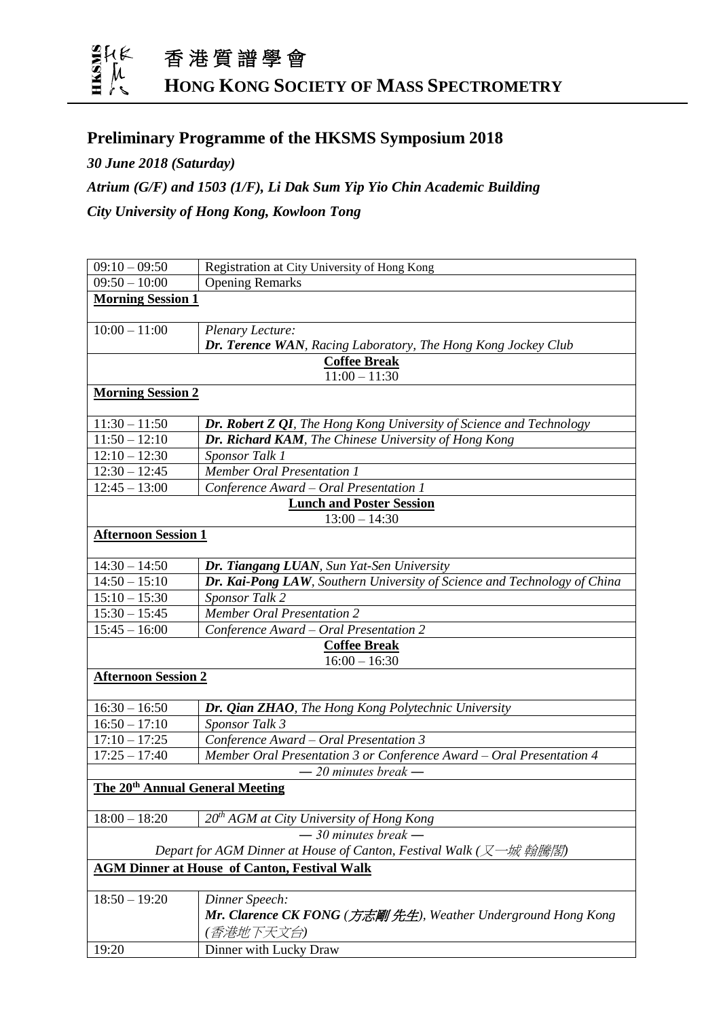

## **Preliminary Programme of the HKSMS Symposium 2018**

*30 June 2018 (Saturday)*

*Atrium (G/F) and 1503 (1/F), Li Dak Sum Yip Yio Chin Academic Building City University of Hong Kong, Kowloon Tong*

| $09:10 - 09:50$                                                   | Registration at City University of Hong Kong                             |
|-------------------------------------------------------------------|--------------------------------------------------------------------------|
| $09:50 - 10:00$                                                   | <b>Opening Remarks</b>                                                   |
| <b>Morning Session 1</b>                                          |                                                                          |
|                                                                   |                                                                          |
| $10:00 - 11:00$                                                   | Plenary Lecture:                                                         |
|                                                                   | Dr. Terence WAN, Racing Laboratory, The Hong Kong Jockey Club            |
| <b>Coffee Break</b><br>$11:00 - 11:30$                            |                                                                          |
| <b>Morning Session 2</b>                                          |                                                                          |
|                                                                   |                                                                          |
| $11:30 - 11:50$                                                   | Dr. Robert Z QI, The Hong Kong University of Science and Technology      |
| $11:50 - 12:10$                                                   | Dr. Richard KAM, The Chinese University of Hong Kong                     |
| $12:10 - 12:30$                                                   | Sponsor Talk 1                                                           |
| $12:30 - 12:45$                                                   | <b>Member Oral Presentation 1</b>                                        |
| $12:45 - 13:00$                                                   | Conference Award - Oral Presentation 1                                   |
| <b>Lunch and Poster Session</b>                                   |                                                                          |
| $13:00 - 14:30$                                                   |                                                                          |
| <b>Afternoon Session 1</b>                                        |                                                                          |
|                                                                   |                                                                          |
| $14:30 - 14:50$                                                   | Dr. Tiangang LUAN, Sun Yat-Sen University                                |
| $14:50 - 15:10$                                                   | Dr. Kai-Pong LAW, Southern University of Science and Technology of China |
| $15:10 - 15:30$                                                   | <b>Sponsor Talk 2</b>                                                    |
| $15:30 - 15:45$                                                   | <b>Member Oral Presentation 2</b>                                        |
| $15:45 - 16:00$                                                   | Conference Award - Oral Presentation 2                                   |
| <b>Coffee Break</b>                                               |                                                                          |
| $16:00 - 16:30$                                                   |                                                                          |
| <b>Afternoon Session 2</b>                                        |                                                                          |
| $16:30 - 16:50$                                                   | Dr. Qian ZHAO, The Hong Kong Polytechnic University                      |
| $16:50 - 17:10$                                                   | Sponsor Talk $\overline{3}$                                              |
| $17:10 - 17:25$                                                   | Conference Award - Oral Presentation 3                                   |
| $17:25 - 17:40$                                                   | Member Oral Presentation 3 or Conference Award - Oral Presentation 4     |
|                                                                   | $-20$ minutes break $-$                                                  |
| The 20 <sup>th</sup> Annual General Meeting                       |                                                                          |
|                                                                   |                                                                          |
| $18:00 - 18:20$                                                   | 20 <sup>th</sup> AGM at City University of Hong Kong                     |
| $-30$ minutes break $-$                                           |                                                                          |
| Depart for AGM Dinner at House of Canton, Festival Walk (又一城 翰騰閣) |                                                                          |
| <b>AGM Dinner at House of Canton, Festival Walk</b>               |                                                                          |
|                                                                   |                                                                          |
| $18:50 - 19:20$                                                   | Dinner Speech:                                                           |
|                                                                   | <b>Mr. Clarence CK FONG</b> (方志剛 先生), Weather Underground Hong Kong      |
|                                                                   | (香港地下天文台)                                                                |
| 19:20                                                             | Dinner with Lucky Draw                                                   |